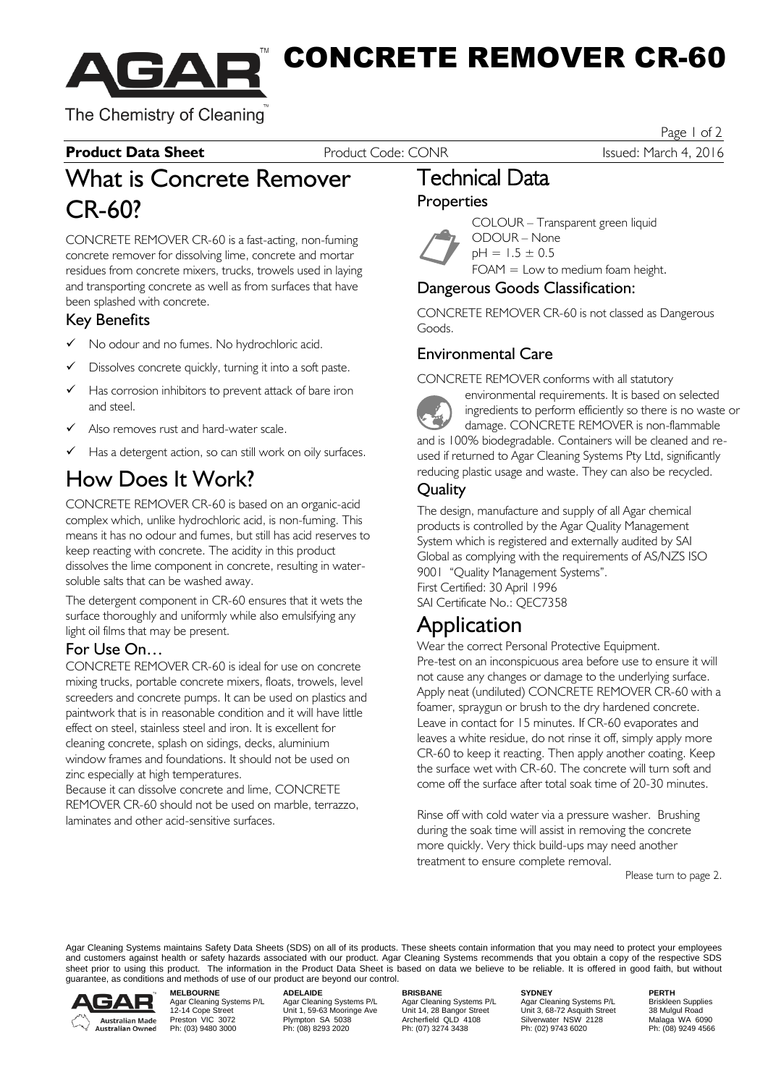

CONCRETE REMOVER CR-60

The Chemistry of Cleaning

#### **Product Data Sheet** Product Code: CONR Issued: March 4, 2016

Page 1 of 2

## What is Concrete Remover CR-60?

CONCRETE REMOVER CR-60 is a fast-acting, non-fuming concrete remover for dissolving lime, concrete and mortar residues from concrete mixers, trucks, trowels used in laying and transporting concrete as well as from surfaces that have been splashed with concrete.

#### Key Benefits

- $\checkmark$  No odour and no fumes. No hydrochloric acid.
- $\checkmark$  Dissolves concrete quickly, turning it into a soft paste.
- Has corrosion inhibitors to prevent attack of bare iron and steel.
- Also removes rust and hard-water scale.
- Has a detergent action, so can still work on oily surfaces.

## How Does It Work?

CONCRETE REMOVER CR-60 is based on an organic-acid complex which, unlike hydrochloric acid, is non-fuming. This means it has no odour and fumes, but still has acid reserves to keep reacting with concrete. The acidity in this product dissolves the lime component in concrete, resulting in watersoluble salts that can be washed away.

The detergent component in CR-60 ensures that it wets the surface thoroughly and uniformly while also emulsifying any light oil films that may be present.

#### For Use On…

CONCRETE REMOVER CR-60 is ideal for use on concrete mixing trucks, portable concrete mixers, floats, trowels, level screeders and concrete pumps. It can be used on plastics and paintwork that is in reasonable condition and it will have little effect on steel, stainless steel and iron. It is excellent for cleaning concrete, splash on sidings, decks, aluminium window frames and foundations. It should not be used on zinc especially at high temperatures.

Because it can dissolve concrete and lime, CONCRETE REMOVER CR-60 should not be used on marble, terrazzo, laminates and other acid-sensitive surfaces.

## Technical Data

#### **Properties**



COLOUR – Transparent green liquid ODOUR – None  $pH = 1.5 \pm 0.5$ 

FOAM = Low to medium foam height.

#### Dangerous Goods Classification:

CONCRETE REMOVER CR-60 is not classed as Dangerous Goods.

### Environmental Care

CONCRETE REMOVER conforms with all statutory

**The Second Second** environmental requirements. It is based on selected ingredients to perform efficiently so there is no waste or damage. CONCRETE REMOVER is non-flammable and is 100% biodegradable. Containers will be cleaned and reused if returned to Agar Cleaning Systems Pty Ltd, significantly reducing plastic usage and waste. They can also be recycled.

### **Quality**

The design, manufacture and supply of all Agar chemical products is controlled by the Agar Quality Management System which is registered and externally audited by SAI Global as complying with the requirements of AS/NZS ISO 9001 "Quality Management Systems". First Certified: 30 April 1996 SAI Certificate No.: QEC7358

## Application

Wear the correct Personal Protective Equipment. Pre-test on an inconspicuous area before use to ensure it will not cause any changes or damage to the underlying surface. Apply neat (undiluted) CONCRETE REMOVER CR-60 with a foamer, spraygun or brush to the dry hardened concrete. Leave in contact for 15 minutes. If CR-60 evaporates and leaves a white residue, do not rinse it off, simply apply more CR-60 to keep it reacting. Then apply another coating. Keep the surface wet with CR-60. The concrete will turn soft and come off the surface after total soak time of 20-30 minutes.

Rinse off with cold water via a pressure washer. Brushing during the soak time will assist in removing the concrete more quickly. Very thick build-ups may need another treatment to ensure complete removal.

Please turn to page 2.

Agar Cleaning Systems maintains Safety Data Sheets (SDS) on all of its products. These sheets contain information that you may need to protect your employees and customers against health or safety hazards associated with our product. Agar Cleaning Systems recommends that you obtain a copy of the respective SDS sheet prior to using this product. The information in the Product Data Sheet is based on data we believe to be reliable. It is offered in good faith, but without guarantee, as conditions and methods of use of our product are beyond our control.



Agar Cleaning Systems P/L Agar Cleaning Systems P/L Agar Cleaning Systems P/L Agar Cleaning Systems P/L Briskleen Supplies<br>12-14 Cope Street Unit 1, 59-63 Mooringe Ave Unit 14, 28 Bangor Street Unit 3, 68 Prestor Archer Malaga Cleaning Systems P/L<br>
Preston VIC 3072 Plympton SA 5038 Archerfield QLD 4108 Systems P/L<br>
Preston VIC 3072 Plympton SA 5038 Archerfield QLD 4108 Silverwater NSW 2128<br>
Ph: (03) 9480 3000 Ph: (08) 8293

**MELBOURNE ADELAIDE BRISBANE SYDNEY PERTH**

PERTH<br>Briskleen Supplies<br>38 Mulgul Road<br>Malaga WA 6090<br>Ph: (08) 9249 4566